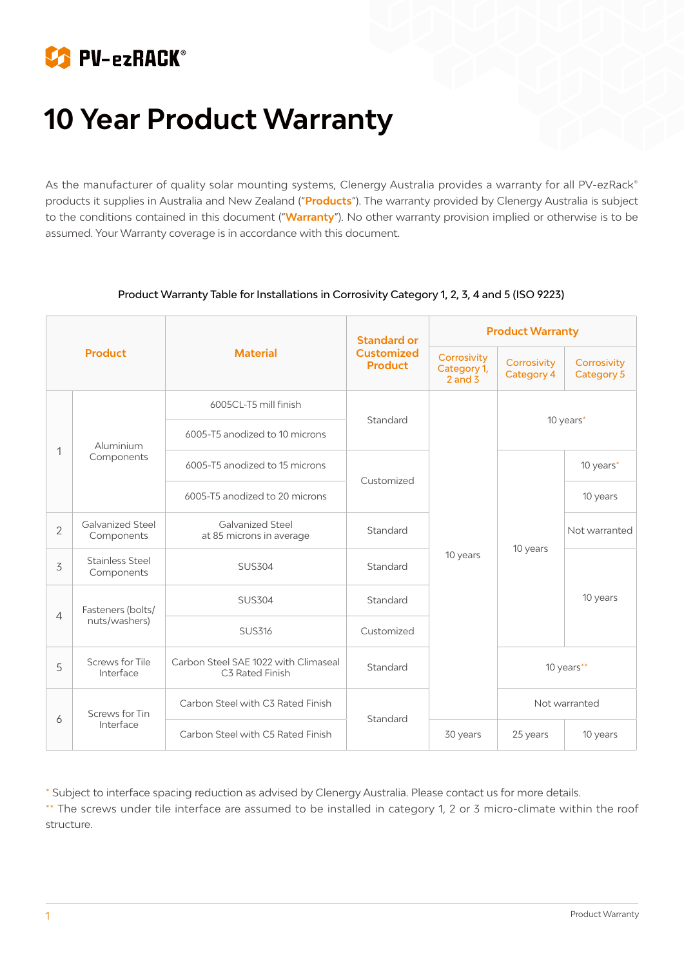

# **10 Year Product Warranty**

As the manufacturer of quality solar mounting systems, Clenergy Australia provides a warranty for all PV-ezRack® products it supplies in Australia and New Zealand ("**Products**"). The warranty provided by Clenergy Australia is subject to the conditions contained in this document ("**Warranty**"). No other warranty provision implied or otherwise is to be assumed. Your Warranty coverage is in accordance with this document.

| <b>Product</b> |                                      | <b>Material</b>                                         | <b>Standard or</b><br><b>Customized</b><br><b>Product</b> | <b>Product Warranty</b>                   |                                  |                                  |
|----------------|--------------------------------------|---------------------------------------------------------|-----------------------------------------------------------|-------------------------------------------|----------------------------------|----------------------------------|
|                |                                      |                                                         |                                                           | Corrosivity<br>Category 1,<br>$2$ and $3$ | Corrosivity<br><b>Category 4</b> | Corrosivity<br><b>Category 5</b> |
| 1              | Aluminium<br>Components              | 6005CL-T5 mill finish                                   | Standard                                                  |                                           | 10 years*                        |                                  |
|                |                                      | 6005-T5 anodized to 10 microns                          |                                                           |                                           |                                  |                                  |
|                |                                      | 6005-T5 anodized to 15 microns                          | Customized                                                | 10 years                                  | 10 years                         | 10 years*                        |
|                |                                      | 6005-T5 anodized to 20 microns                          |                                                           |                                           |                                  | 10 years                         |
| $\overline{2}$ | Galvanized Steel<br>Components       | <b>Galvanized Steel</b><br>at 85 microns in average     | Standard                                                  |                                           |                                  | Not warranted                    |
| 3              | <b>Stainless Steel</b><br>Components | <b>SUS304</b>                                           | Standard                                                  |                                           |                                  | 10 years                         |
| $\overline{4}$ | Fasteners (bolts/<br>nuts/washers)   | <b>SUS304</b>                                           | Standard                                                  |                                           |                                  |                                  |
|                |                                      | <b>SUS316</b>                                           | Customized                                                |                                           |                                  |                                  |
| 5              | Screws for Tile<br>Interface         | Carbon Steel SAE 1022 with Climaseal<br>C3 Rated Finish | Standard                                                  |                                           | 10 years**                       |                                  |
| 6              | Screws for Tin<br>Interface          | Carbon Steel with C3 Rated Finish                       | Standard                                                  |                                           | Not warranted                    |                                  |
|                |                                      | Carbon Steel with C5 Rated Finish                       |                                                           | 30 years                                  | 25 years                         | 10 years                         |

#### Product Warranty Table for Installations in Corrosivity Category 1, 2, 3, 4 and 5 (ISO 9223)

\* Subject to interface spacing reduction as advised by Clenergy Australia. Please contact us for more details.

\*\* The screws under tile interface are assumed to be installed in category 1, 2 or 3 micro-climate within the roof structure.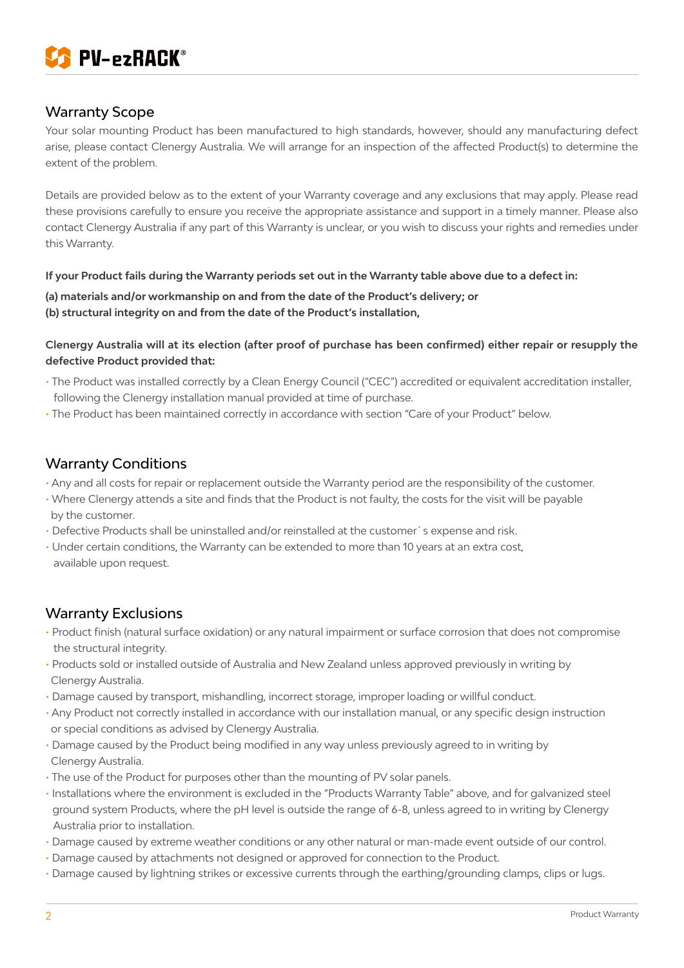

## Warranty Scope

Your solar mounting Product has been manufactured to high standards, however, should any manufacturing defect arise, please contact Clenergy Australia. We will arrange for an inspection of the affected Product(s) to determine the extent of the problem.

Details are provided below as to the extent of your Warranty coverage and any exclusions that may apply. Please read these provisions carefully to ensure you receive the appropriate assistance and support in a timely manner. Please also contact Clenergy Australia if any part of this Warranty is unclear, or you wish to discuss your rights and remedies under this Warranty.

#### **If your Product fails during the Warranty periods set out in the Warranty table above due to a defect in:**

**(a) materials and/or workmanship on and from the date of the Product's delivery; or (b) structural integrity on and from the date of the Product's installation,**

#### **Clenergy Australia will at its election (after proof of purchase has been confirmed) either repair or resupply the defective Product provided that:**

- The Product was installed correctly by a Clean Energy Council ("CEC") accredited or equivalent accreditation installer, following the Clenergy installation manual provided at time of purchase.
- The Product has been maintained correctly in accordance with section "Care of your Product" below.

### Warranty Conditions

- Any and all costs for repair or replacement outside the Warranty period are the responsibility of the customer.
- Where Clenergy attends a site and finds that the Product is not faulty, the costs for the visit will be payable by the customer.
- Defective Products shall be uninstalled and/or reinstalled at the customer´s expense and risk.
- Under certain conditions, the Warranty can be extended to more than 10 years at an extra cost, available upon request.

## Warranty Exclusions

- Product finish (natural surface oxidation) or any natural impairment or surface corrosion that does not compromise the structural integrity.
- Products sold or installed outside of Australia and New Zealand unless approved previously in writing by Clenergy Australia.
- Damage caused by transport, mishandling, incorrect storage, improper loading or willful conduct.
- Any Product not correctly installed in accordance with our installation manual, or any specific design instruction or special conditions as advised by Clenergy Australia.
- Damage caused by the Product being modified in any way unless previously agreed to in writing by Clenergy Australia.
- The use of the Product for purposes other than the mounting of PV solar panels.
- Installations where the environment is excluded in the "Products Warranty Table" above, and for galvanized steel ground system Products, where the pH level is outside the range of 6-8, unless agreed to in writing by Clenergy Australia prior to installation.
- Damage caused by extreme weather conditions or any other natural or man-made event outside of our control.
- Damage caused by attachments not designed or approved for connection to the Product.
- Damage caused by lightning strikes or excessive currents through the earthing/grounding clamps, clips or lugs.